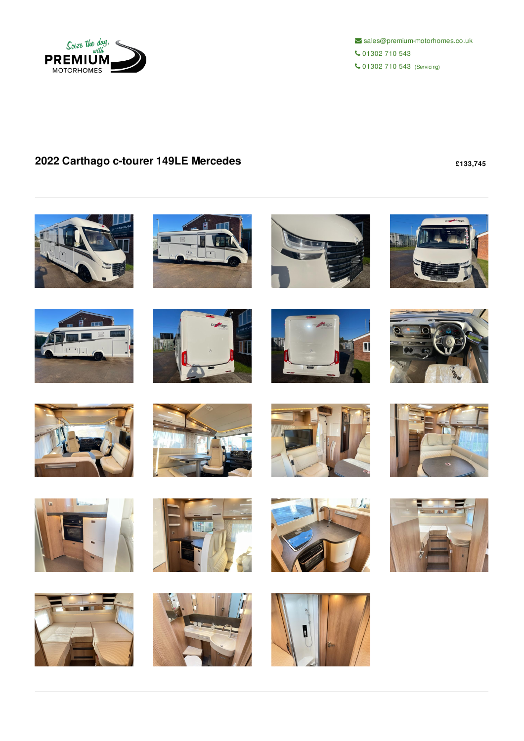

 $\blacktriangleright$  sales@premium-motorhomes.co.uk 01302 710 543 01302 710 543 (Servicing)

## **2022 Carthago c-tourer 149LE Mercedes £133,745**